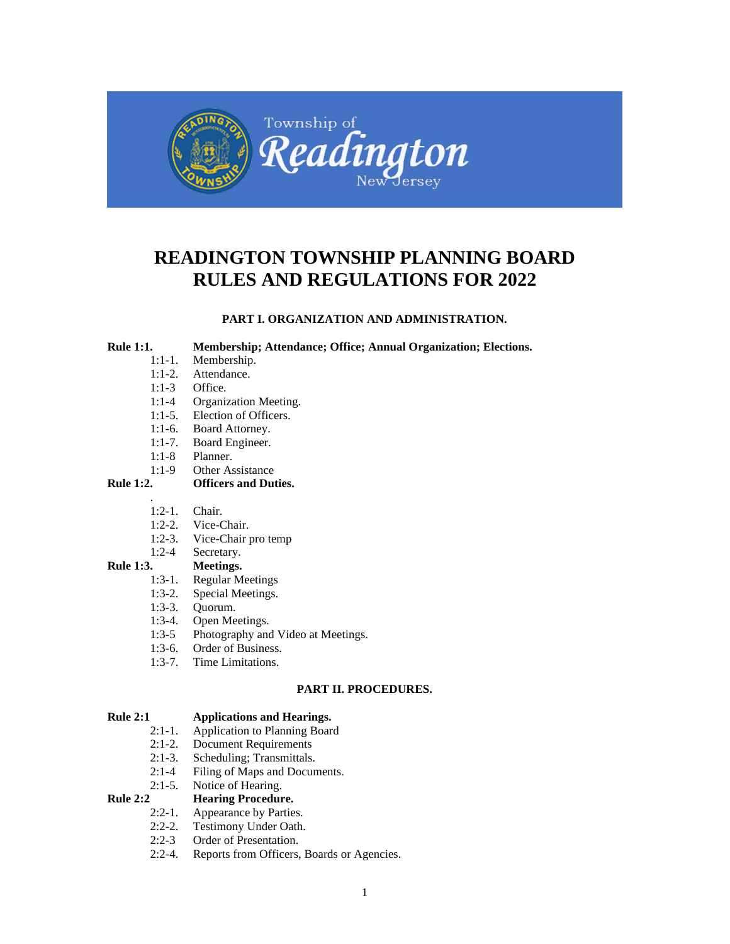

## **READINGTON TOWNSHIP PLANNING BOARD RULES AND REGULATIONS FOR 2022**

**PART I. ORGANIZATION AND ADMINISTRATION.** 

#### **Rule 1:1. Membership; Attendance; Office; Annual Organization; Elections.**

- 1:1-1. Membership.
- 1:1-2. Attendance.
- 1:1-3 Office.
- 1:1-4 Organization Meeting.<br>1:1-5. Election of Officers.
- Election of Officers.
- 1:1-6. Board Attorney.
- 1:1-7. Board Engineer.
- 1:1-8 Planner.
- 1:1-9 Other Assistance

## **Rule 1:2. Officers and Duties.**

- . 1:2-1. Chair.
- 1:2-2. Vice-Chair.
- 1:2-3. Vice-Chair pro temp
- 1:2-4 Secretary.

#### **Rule 1:3. Meetings.**

- 1:3-1. Regular Meetings
- 1:3-2. Special Meetings.
- 1:3-3. Quorum.
- 1:3-4. Open Meetings.
- 1:3-5 Photography and Video at Meetings.
- 1:3-6. Order of Business.<br>1:3-7. Time Limitations.
- Time Limitations.

## **PART II. PROCEDURES.**

# **Rule 2:1 Applications and Hearings.**<br>2:1-1. **Application to Planning Boar**

- 2:1-1. Application to Planning Board<br>2:1-2. Document Requirements
- Document Requirements
- 2:1-3. Scheduling; Transmittals.
- 2:1-4 Filing of Maps and Documents.

## 2:1-5. Notice of Hearing.

### **Rule 2:2 Hearing Procedure.**

- 2:2-1. Appearance by Parties.<br>2:2-2. Testimony Under Oath.
- Testimony Under Oath.
- 2:2-3 Order of Presentation.
- 2:2-4. Reports from Officers, Boards or Agencies.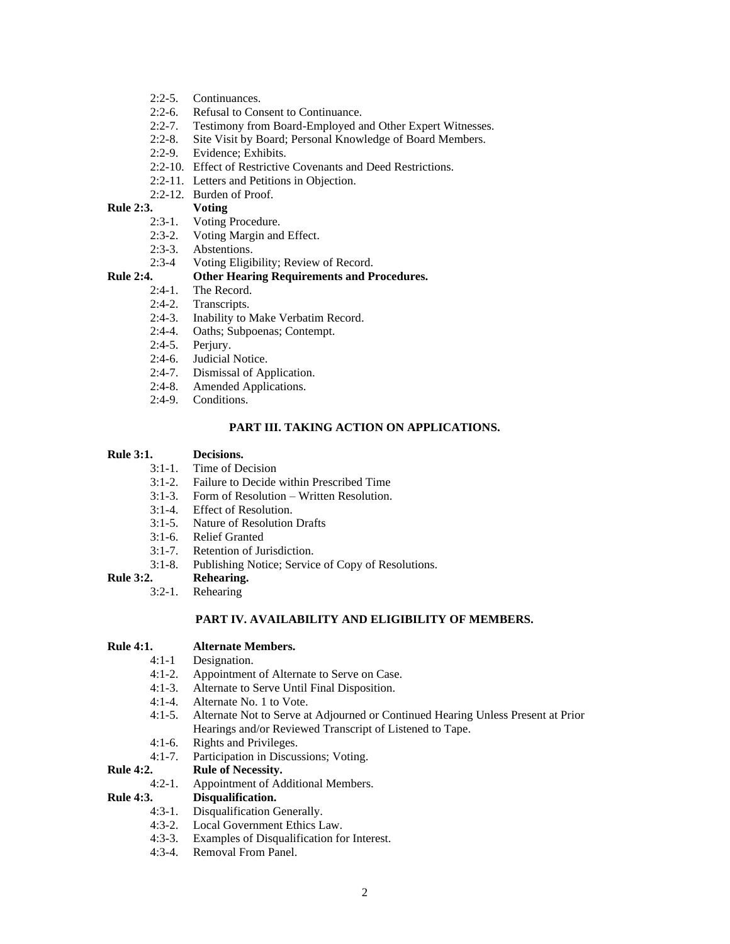- 2:2-5. Continuances.
- 2:2-6. Refusal to Consent to Continuance.
- 2:2-7. Testimony from Board-Employed and Other Expert Witnesses.
- 2:2-8. Site Visit by Board; Personal Knowledge of Board Members.
- 2:2-9. Evidence; Exhibits.
- 2:2-10. Effect of Restrictive Covenants and Deed Restrictions.
- 2:2-11. Letters and Petitions in Objection.
- 2:2-12. Burden of Proof.

#### **Rule 2:3. Voting**

- 2:3-1. Voting Procedure.
- 2:3-2. Voting Margin and Effect.
- 2:3-3. Abstentions.
- 2:3-4 Voting Eligibility; Review of Record.

## **Rule 2:4. Other Hearing Requirements and Procedures.**

#### The Record.

- 2:4-2. Transcripts.
- 2:4-3. Inability to Make Verbatim Record.
- 2:4-4. Oaths; Subpoenas; Contempt.
- 2:4-5. Perjury.<br>2:4-6. Judicial
- 
- 2:4-6. Judicial Notice.<br>2:4-7. Dismissal of Ap Dismissal of Application.
- 2:4-8. Amended Applications.
- 2:4-9. Conditions.

## **PART III. TAKING ACTION ON APPLICATIONS.**

#### **Rule 3:1. Decisions.**

- 3:1-1. Time of Decision
- 3:1-2. Failure to Decide within Prescribed Time
- 3:1-3. Form of Resolution Written Resolution.
- 3:1-4. Effect of Resolution.
- 3:1-5. Nature of Resolution Drafts
- 3:1-6. Relief Granted
- 3:1-7. Retention of Jurisdiction.
- 3:1-8. Publishing Notice; Service of Copy of Resolutions.

## **Rule 3:2. Rehearing.**

3:2-1. Rehearing

## **PART IV. AVAILABILITY AND ELIGIBILITY OF MEMBERS.**

#### **Rule 4:1. Alternate Members.**

- 4:1-1 Designation.
- 4:1-2. Appointment of Alternate to Serve on Case.<br>4:1-3. Alternate to Serve Until Final Disposition.
- Alternate to Serve Until Final Disposition.
- 4:1-4. Alternate No. 1 to Vote.
- 4:1-5. Alternate Not to Serve at Adjourned or Continued Hearing Unless Present at Prior Hearings and/or Reviewed Transcript of Listened to Tape.
- 4:1-6. Rights and Privileges.
- 4:1-7. Participation in Discussions; Voting.
- **Rule 4:2. Rule of Necessity.**
	- 4:2-1. Appointment of Additional Members.

#### **Rule 4:3. Disqualification.**

- 4:3-1. Disqualification Generally.<br>4:3-2. Local Government Ethics L
- Local Government Ethics Law.
- 4:3-3. Examples of Disqualification for Interest.
- 4:3-4. Removal From Panel.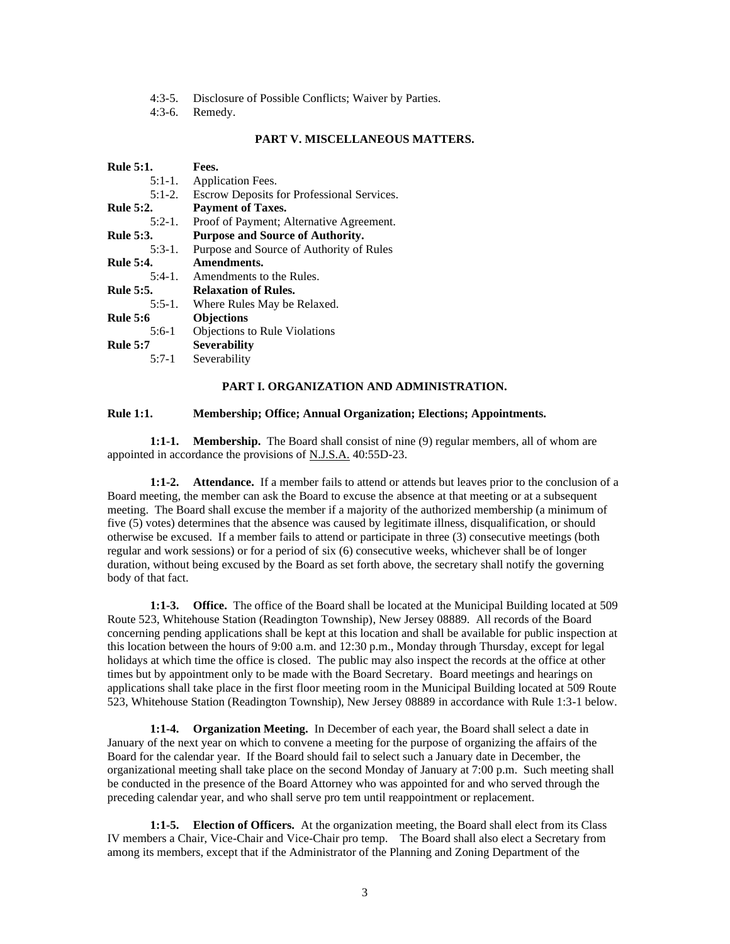- 4:3-5. Disclosure of Possible Conflicts; Waiver by Parties.
- 4:3-6. Remedy.

## **PART V. MISCELLANEOUS MATTERS.**

| <b>Rule 5:1.</b> | Fees.                                      |
|------------------|--------------------------------------------|
| $5:1-1$ .        | Application Fees.                          |
| $5:1-2.$         | Escrow Deposits for Professional Services. |
| <b>Rule 5:2.</b> | <b>Payment of Taxes.</b>                   |
| $5:2-1$ .        | Proof of Payment; Alternative Agreement.   |
| <b>Rule 5:3.</b> | <b>Purpose and Source of Authority.</b>    |
| $5:3-1$ .        | Purpose and Source of Authority of Rules   |
| <b>Rule 5:4.</b> | Amendments.                                |
| $5:4-1$ .        | Amendments to the Rules.                   |
| <b>Rule 5:5.</b> | <b>Relaxation of Rules.</b>                |
| $5:5-1$ .        | Where Rules May be Relaxed.                |
| <b>Rule 5:6</b>  | <b>Objections</b>                          |
| $5:6-1$          | <b>Objections to Rule Violations</b>       |
| <b>Rule 5:7</b>  | <b>Severability</b>                        |
| $5:7-1$          | Severability                               |
|                  |                                            |

#### **PART I. ORGANIZATION AND ADMINISTRATION.**

#### **Rule 1:1. Membership; Office; Annual Organization; Elections; Appointments.**

**1:1-1. Membership.** The Board shall consist of nine (9) regular members, all of whom are appointed in accordance the provisions of N.J.S.A. 40:55D-23.

**1:1-2. Attendance.** If a member fails to attend or attends but leaves prior to the conclusion of a Board meeting, the member can ask the Board to excuse the absence at that meeting or at a subsequent meeting. The Board shall excuse the member if a majority of the authorized membership (a minimum of five (5) votes) determines that the absence was caused by legitimate illness, disqualification, or should otherwise be excused. If a member fails to attend or participate in three (3) consecutive meetings (both regular and work sessions) or for a period of six (6) consecutive weeks, whichever shall be of longer duration, without being excused by the Board as set forth above, the secretary shall notify the governing body of that fact.

**1:1-3. Office.** The office of the Board shall be located at the Municipal Building located at 509 Route 523, Whitehouse Station (Readington Township), New Jersey 08889. All records of the Board concerning pending applications shall be kept at this location and shall be available for public inspection at this location between the hours of 9:00 a.m. and 12:30 p.m., Monday through Thursday, except for legal holidays at which time the office is closed. The public may also inspect the records at the office at other times but by appointment only to be made with the Board Secretary. Board meetings and hearings on applications shall take place in the first floor meeting room in the Municipal Building located at 509 Route 523, Whitehouse Station (Readington Township), New Jersey 08889 in accordance with Rule 1:3-1 below.

**1:1-4. Organization Meeting.** In December of each year, the Board shall select a date in January of the next year on which to convene a meeting for the purpose of organizing the affairs of the Board for the calendar year. If the Board should fail to select such a January date in December, the organizational meeting shall take place on the second Monday of January at 7:00 p.m. Such meeting shall be conducted in the presence of the Board Attorney who was appointed for and who served through the preceding calendar year, and who shall serve pro tem until reappointment or replacement.

**1:1-5. Election of Officers.** At the organization meeting, the Board shall elect from its Class IV members a Chair, Vice-Chair and Vice-Chair pro temp. The Board shall also elect a Secretary from among its members, except that if the Administrator of the Planning and Zoning Department of the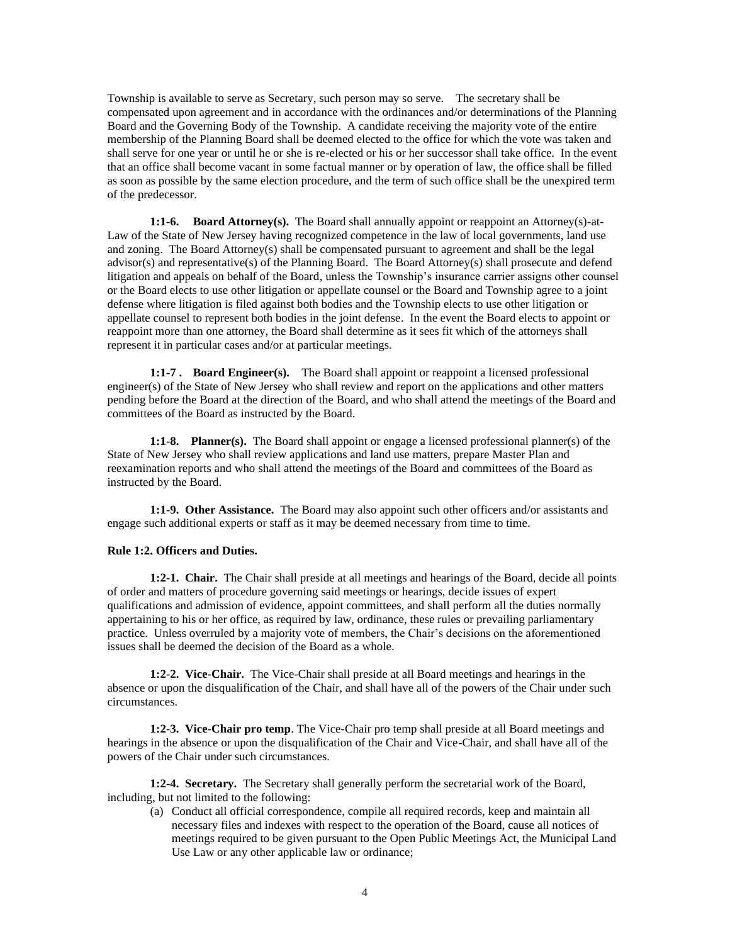Township is available to serve as Secretary, such person may so serve. The secretary shall be compensated upon agreement and in accordance with the ordinances and/or determinations of the Planning Board and the Governing Body of the Township. A candidate receiving the majority vote of the entire membership of the Planning Board shall be deemed elected to the office for which the vote was taken and shall serve for one year or until he or she is re-elected or his or her successor shall take office. In the event that an office shall become vacant in some factual manner or by operation of law, the office shall be filled as soon as possible by the same election procedure, and the term of such office shall be the unexpired term of the predecessor.

**1:1-6. Board Attorney(s).** The Board shall annually appoint or reappoint an Attorney(s)-at-Law of the State of New Jersey having recognized competence in the law of local governments, land use and zoning. The Board Attorney(s) shall be compensated pursuant to agreement and shall be the legal advisor(s) and representative(s) of the Planning Board. The Board Attorney(s) shall prosecute and defend litigation and appeals on behalf of the Board, unless the Township's insurance carrier assigns other counsel or the Board elects to use other litigation or appellate counsel or the Board and Township agree to a joint defense where litigation is filed against both bodies and the Township elects to use other litigation or appellate counsel to represent both bodies in the joint defense. In the event the Board elects to appoint or reappoint more than one attorney, the Board shall determine as it sees fit which of the attorneys shall represent it in particular cases and/or at particular meetings.

**1:1-7 . Board Engineer(s).** The Board shall appoint or reappoint a licensed professional engineer(s) of the State of New Jersey who shall review and report on the applications and other matters pending before the Board at the direction of the Board, and who shall attend the meetings of the Board and committees of the Board as instructed by the Board.

**1:1-8. Planner(s).** The Board shall appoint or engage a licensed professional planner(s) of the State of New Jersey who shall review applications and land use matters, prepare Master Plan and reexamination reports and who shall attend the meetings of the Board and committees of the Board as instructed by the Board.

**1:1-9. Other Assistance.** The Board may also appoint such other officers and/or assistants and engage such additional experts or staff as it may be deemed necessary from time to time.

#### **Rule 1:2. Officers and Duties.**

**1:2-1. Chair.** The Chair shall preside at all meetings and hearings of the Board, decide all points of order and matters of procedure governing said meetings or hearings, decide issues of expert qualifications and admission of evidence, appoint committees, and shall perform all the duties normally appertaining to his or her office, as required by law, ordinance, these rules or prevailing parliamentary practice. Unless overruled by a majority vote of members, the Chair's decisions on the aforementioned issues shall be deemed the decision of the Board as a whole.

**1:2-2. Vice-Chair.** The Vice-Chair shall preside at all Board meetings and hearings in the absence or upon the disqualification of the Chair, and shall have all of the powers of the Chair under such circumstances.

**1:2-3. Vice-Chair pro temp**. The Vice-Chair pro temp shall preside at all Board meetings and hearings in the absence or upon the disqualification of the Chair and Vice-Chair, and shall have all of the powers of the Chair under such circumstances.

**1:2-4. Secretary.** The Secretary shall generally perform the secretarial work of the Board, including, but not limited to the following:

(a) Conduct all official correspondence, compile all required records, keep and maintain all necessary files and indexes with respect to the operation of the Board, cause all notices of meetings required to be given pursuant to the Open Public Meetings Act, the Municipal Land Use Law or any other applicable law or ordinance;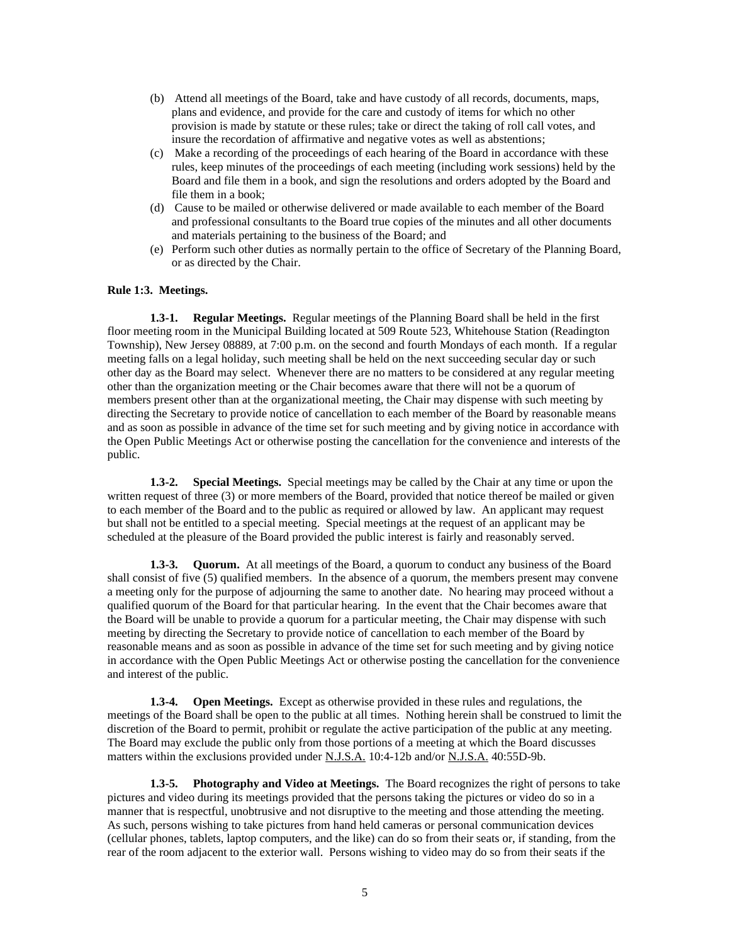- (b) Attend all meetings of the Board, take and have custody of all records, documents, maps, plans and evidence, and provide for the care and custody of items for which no other provision is made by statute or these rules; take or direct the taking of roll call votes, and insure the recordation of affirmative and negative votes as well as abstentions;
- (c) Make a recording of the proceedings of each hearing of the Board in accordance with these rules, keep minutes of the proceedings of each meeting (including work sessions) held by the Board and file them in a book, and sign the resolutions and orders adopted by the Board and file them in a book;
- (d) Cause to be mailed or otherwise delivered or made available to each member of the Board and professional consultants to the Board true copies of the minutes and all other documents and materials pertaining to the business of the Board; and
- (e) Perform such other duties as normally pertain to the office of Secretary of the Planning Board, or as directed by the Chair.

#### **Rule 1:3. Meetings.**

**1.3-1. Regular Meetings.** Regular meetings of the Planning Board shall be held in the first floor meeting room in the Municipal Building located at 509 Route 523, Whitehouse Station (Readington Township), New Jersey 08889, at 7:00 p.m. on the second and fourth Mondays of each month. If a regular meeting falls on a legal holiday, such meeting shall be held on the next succeeding secular day or such other day as the Board may select. Whenever there are no matters to be considered at any regular meeting other than the organization meeting or the Chair becomes aware that there will not be a quorum of members present other than at the organizational meeting, the Chair may dispense with such meeting by directing the Secretary to provide notice of cancellation to each member of the Board by reasonable means and as soon as possible in advance of the time set for such meeting and by giving notice in accordance with the Open Public Meetings Act or otherwise posting the cancellation for the convenience and interests of the public.

**1.3-2. Special Meetings.** Special meetings may be called by the Chair at any time or upon the written request of three (3) or more members of the Board, provided that notice thereof be mailed or given to each member of the Board and to the public as required or allowed by law. An applicant may request but shall not be entitled to a special meeting. Special meetings at the request of an applicant may be scheduled at the pleasure of the Board provided the public interest is fairly and reasonably served.

**1.3-3. Quorum.** At all meetings of the Board, a quorum to conduct any business of the Board shall consist of five (5) qualified members. In the absence of a quorum, the members present may convene a meeting only for the purpose of adjourning the same to another date. No hearing may proceed without a qualified quorum of the Board for that particular hearing. In the event that the Chair becomes aware that the Board will be unable to provide a quorum for a particular meeting, the Chair may dispense with such meeting by directing the Secretary to provide notice of cancellation to each member of the Board by reasonable means and as soon as possible in advance of the time set for such meeting and by giving notice in accordance with the Open Public Meetings Act or otherwise posting the cancellation for the convenience and interest of the public.

**1.3-4. Open Meetings.** Except as otherwise provided in these rules and regulations, the meetings of the Board shall be open to the public at all times. Nothing herein shall be construed to limit the discretion of the Board to permit, prohibit or regulate the active participation of the public at any meeting. The Board may exclude the public only from those portions of a meeting at which the Board discusses matters within the exclusions provided under N.J.S.A. 10:4-12b and/or N.J.S.A. 40:55D-9b.

**1.3-5. Photography and Video at Meetings.** The Board recognizes the right of persons to take pictures and video during its meetings provided that the persons taking the pictures or video do so in a manner that is respectful, unobtrusive and not disruptive to the meeting and those attending the meeting. As such, persons wishing to take pictures from hand held cameras or personal communication devices (cellular phones, tablets, laptop computers, and the like) can do so from their seats or, if standing, from the rear of the room adjacent to the exterior wall. Persons wishing to video may do so from their seats if the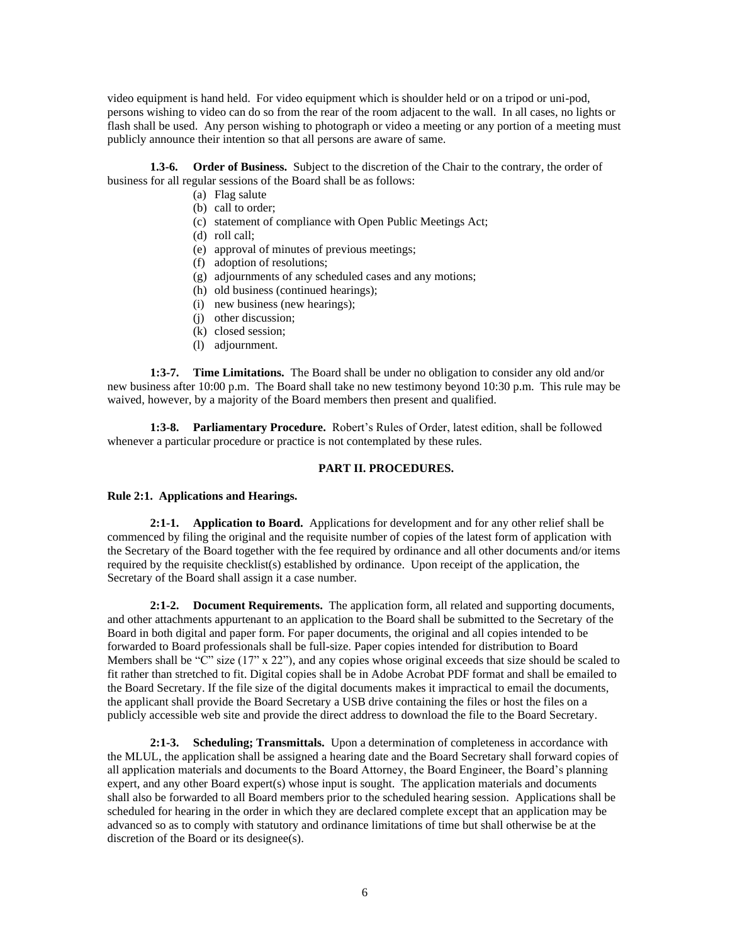video equipment is hand held. For video equipment which is shoulder held or on a tripod or uni-pod, persons wishing to video can do so from the rear of the room adjacent to the wall. In all cases, no lights or flash shall be used. Any person wishing to photograph or video a meeting or any portion of a meeting must publicly announce their intention so that all persons are aware of same.

**1.3-6. Order of Business.** Subject to the discretion of the Chair to the contrary, the order of business for all regular sessions of the Board shall be as follows:

- (a) Flag salute
- (b) call to order;
- (c) statement of compliance with Open Public Meetings Act;
- (d) roll call;
- (e) approval of minutes of previous meetings;
- (f) adoption of resolutions;
- (g) adjournments of any scheduled cases and any motions;
- (h) old business (continued hearings);
- (i) new business (new hearings);
- (j) other discussion;
- (k) closed session;
- (l) adjournment.

**1:3-7. Time Limitations.** The Board shall be under no obligation to consider any old and/or new business after 10:00 p.m. The Board shall take no new testimony beyond 10:30 p.m. This rule may be waived, however, by a majority of the Board members then present and qualified.

**1:3-8. Parliamentary Procedure.** Robert's Rules of Order, latest edition, shall be followed whenever a particular procedure or practice is not contemplated by these rules.

#### **PART II. PROCEDURES.**

#### **Rule 2:1. Applications and Hearings.**

**2:1-1. Application to Board.** Applications for development and for any other relief shall be commenced by filing the original and the requisite number of copies of the latest form of application with the Secretary of the Board together with the fee required by ordinance and all other documents and/or items required by the requisite checklist(s) established by ordinance. Upon receipt of the application, the Secretary of the Board shall assign it a case number.

**2:1-2. Document Requirements.** The application form, all related and supporting documents, and other attachments appurtenant to an application to the Board shall be submitted to the Secretary of the Board in both digital and paper form. For paper documents, the original and all copies intended to be forwarded to Board professionals shall be full-size. Paper copies intended for distribution to Board Members shall be "C" size  $(17" x 22"$ ), and any copies whose original exceeds that size should be scaled to fit rather than stretched to fit. Digital copies shall be in Adobe Acrobat PDF format and shall be emailed to the Board Secretary. If the file size of the digital documents makes it impractical to email the documents, the applicant shall provide the Board Secretary a USB drive containing the files or host the files on a publicly accessible web site and provide the direct address to download the file to the Board Secretary.

**2:1-3. Scheduling; Transmittals.** Upon a determination of completeness in accordance with the MLUL, the application shall be assigned a hearing date and the Board Secretary shall forward copies of all application materials and documents to the Board Attorney, the Board Engineer, the Board's planning expert, and any other Board expert(s) whose input is sought. The application materials and documents shall also be forwarded to all Board members prior to the scheduled hearing session. Applications shall be scheduled for hearing in the order in which they are declared complete except that an application may be advanced so as to comply with statutory and ordinance limitations of time but shall otherwise be at the discretion of the Board or its designee(s).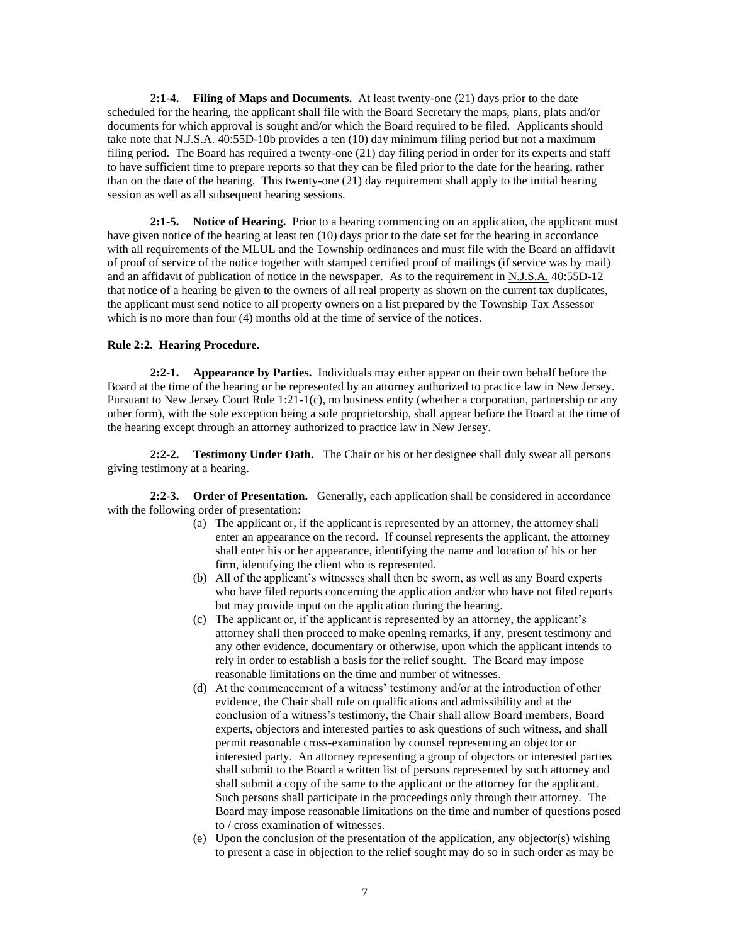**2:1-4. Filing of Maps and Documents.** At least twenty-one (21) days prior to the date scheduled for the hearing, the applicant shall file with the Board Secretary the maps, plans, plats and/or documents for which approval is sought and/or which the Board required to be filed. Applicants should take note that N.J.S.A. 40:55D-10b provides a ten (10) day minimum filing period but not a maximum filing period. The Board has required a twenty-one (21) day filing period in order for its experts and staff to have sufficient time to prepare reports so that they can be filed prior to the date for the hearing, rather than on the date of the hearing. This twenty-one (21) day requirement shall apply to the initial hearing session as well as all subsequent hearing sessions.

**2:1-5. Notice of Hearing.** Prior to a hearing commencing on an application, the applicant must have given notice of the hearing at least ten (10) days prior to the date set for the hearing in accordance with all requirements of the MLUL and the Township ordinances and must file with the Board an affidavit of proof of service of the notice together with stamped certified proof of mailings (if service was by mail) and an affidavit of publication of notice in the newspaper. As to the requirement in N.J.S.A. 40:55D-12 that notice of a hearing be given to the owners of all real property as shown on the current tax duplicates, the applicant must send notice to all property owners on a list prepared by the Township Tax Assessor which is no more than four (4) months old at the time of service of the notices.

#### **Rule 2:2. Hearing Procedure.**

**2:2-1. Appearance by Parties.** Individuals may either appear on their own behalf before the Board at the time of the hearing or be represented by an attorney authorized to practice law in New Jersey. Pursuant to New Jersey Court Rule 1:21-1(c), no business entity (whether a corporation, partnership or any other form), with the sole exception being a sole proprietorship, shall appear before the Board at the time of the hearing except through an attorney authorized to practice law in New Jersey.

**2:2-2. Testimony Under Oath.** The Chair or his or her designee shall duly swear all persons giving testimony at a hearing.

**2:2-3. Order of Presentation.** Generally, each application shall be considered in accordance with the following order of presentation:

- (a) The applicant or, if the applicant is represented by an attorney, the attorney shall enter an appearance on the record. If counsel represents the applicant, the attorney shall enter his or her appearance, identifying the name and location of his or her firm, identifying the client who is represented.
- (b) All of the applicant's witnesses shall then be sworn, as well as any Board experts who have filed reports concerning the application and/or who have not filed reports but may provide input on the application during the hearing.
- (c) The applicant or, if the applicant is represented by an attorney, the applicant's attorney shall then proceed to make opening remarks, if any, present testimony and any other evidence, documentary or otherwise, upon which the applicant intends to rely in order to establish a basis for the relief sought. The Board may impose reasonable limitations on the time and number of witnesses.
- (d) At the commencement of a witness' testimony and/or at the introduction of other evidence, the Chair shall rule on qualifications and admissibility and at the conclusion of a witness's testimony, the Chair shall allow Board members, Board experts, objectors and interested parties to ask questions of such witness, and shall permit reasonable cross-examination by counsel representing an objector or interested party. An attorney representing a group of objectors or interested parties shall submit to the Board a written list of persons represented by such attorney and shall submit a copy of the same to the applicant or the attorney for the applicant. Such persons shall participate in the proceedings only through their attorney. The Board may impose reasonable limitations on the time and number of questions posed to / cross examination of witnesses.
- (e) Upon the conclusion of the presentation of the application, any objector(s) wishing to present a case in objection to the relief sought may do so in such order as may be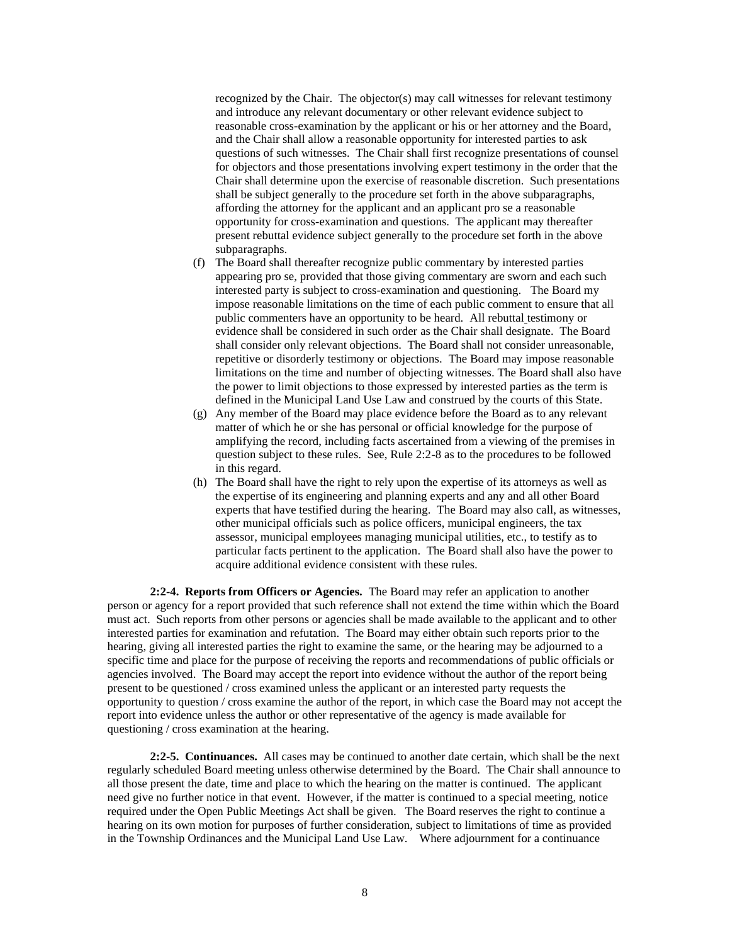recognized by the Chair. The objector(s) may call witnesses for relevant testimony and introduce any relevant documentary or other relevant evidence subject to reasonable cross-examination by the applicant or his or her attorney and the Board, and the Chair shall allow a reasonable opportunity for interested parties to ask questions of such witnesses. The Chair shall first recognize presentations of counsel for objectors and those presentations involving expert testimony in the order that the Chair shall determine upon the exercise of reasonable discretion. Such presentations shall be subject generally to the procedure set forth in the above subparagraphs, affording the attorney for the applicant and an applicant pro se a reasonable opportunity for cross-examination and questions. The applicant may thereafter present rebuttal evidence subject generally to the procedure set forth in the above subparagraphs.

- (f) The Board shall thereafter recognize public commentary by interested parties appearing pro se, provided that those giving commentary are sworn and each such interested party is subject to cross-examination and questioning. The Board my impose reasonable limitations on the time of each public comment to ensure that all public commenters have an opportunity to be heard. All rebuttal testimony or evidence shall be considered in such order as the Chair shall designate. The Board shall consider only relevant objections. The Board shall not consider unreasonable, repetitive or disorderly testimony or objections. The Board may impose reasonable limitations on the time and number of objecting witnesses. The Board shall also have the power to limit objections to those expressed by interested parties as the term is defined in the Municipal Land Use Law and construed by the courts of this State.
- (g) Any member of the Board may place evidence before the Board as to any relevant matter of which he or she has personal or official knowledge for the purpose of amplifying the record, including facts ascertained from a viewing of the premises in question subject to these rules. See, Rule 2:2-8 as to the procedures to be followed in this regard.
- (h) The Board shall have the right to rely upon the expertise of its attorneys as well as the expertise of its engineering and planning experts and any and all other Board experts that have testified during the hearing. The Board may also call, as witnesses, other municipal officials such as police officers, municipal engineers, the tax assessor, municipal employees managing municipal utilities, etc., to testify as to particular facts pertinent to the application. The Board shall also have the power to acquire additional evidence consistent with these rules.

**2:2-4. Reports from Officers or Agencies.** The Board may refer an application to another person or agency for a report provided that such reference shall not extend the time within which the Board must act. Such reports from other persons or agencies shall be made available to the applicant and to other interested parties for examination and refutation. The Board may either obtain such reports prior to the hearing, giving all interested parties the right to examine the same, or the hearing may be adjourned to a specific time and place for the purpose of receiving the reports and recommendations of public officials or agencies involved. The Board may accept the report into evidence without the author of the report being present to be questioned / cross examined unless the applicant or an interested party requests the opportunity to question / cross examine the author of the report, in which case the Board may not accept the report into evidence unless the author or other representative of the agency is made available for questioning / cross examination at the hearing.

**2:2-5. Continuances.** All cases may be continued to another date certain, which shall be the next regularly scheduled Board meeting unless otherwise determined by the Board. The Chair shall announce to all those present the date, time and place to which the hearing on the matter is continued. The applicant need give no further notice in that event. However, if the matter is continued to a special meeting, notice required under the Open Public Meetings Act shall be given. The Board reserves the right to continue a hearing on its own motion for purposes of further consideration, subject to limitations of time as provided in the Township Ordinances and the Municipal Land Use Law. Where adjournment for a continuance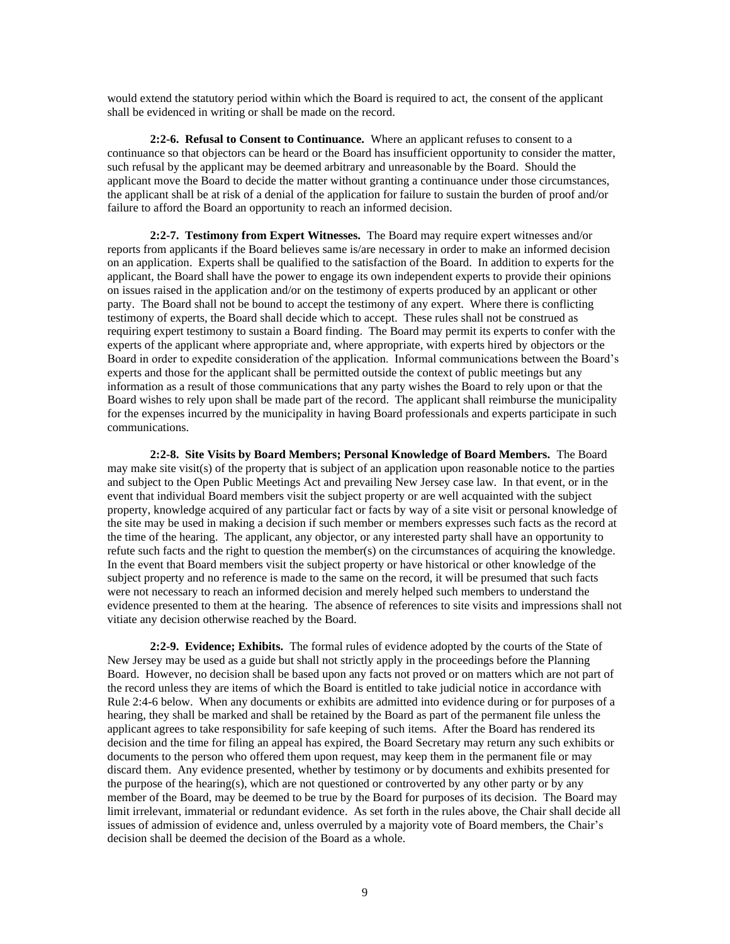would extend the statutory period within which the Board is required to act, the consent of the applicant shall be evidenced in writing or shall be made on the record.

**2:2-6. Refusal to Consent to Continuance.** Where an applicant refuses to consent to a continuance so that objectors can be heard or the Board has insufficient opportunity to consider the matter, such refusal by the applicant may be deemed arbitrary and unreasonable by the Board. Should the applicant move the Board to decide the matter without granting a continuance under those circumstances, the applicant shall be at risk of a denial of the application for failure to sustain the burden of proof and/or failure to afford the Board an opportunity to reach an informed decision.

**2:2-7. Testimony from Expert Witnesses.** The Board may require expert witnesses and/or reports from applicants if the Board believes same is/are necessary in order to make an informed decision on an application. Experts shall be qualified to the satisfaction of the Board. In addition to experts for the applicant, the Board shall have the power to engage its own independent experts to provide their opinions on issues raised in the application and/or on the testimony of experts produced by an applicant or other party. The Board shall not be bound to accept the testimony of any expert. Where there is conflicting testimony of experts, the Board shall decide which to accept. These rules shall not be construed as requiring expert testimony to sustain a Board finding. The Board may permit its experts to confer with the experts of the applicant where appropriate and, where appropriate, with experts hired by objectors or the Board in order to expedite consideration of the application. Informal communications between the Board's experts and those for the applicant shall be permitted outside the context of public meetings but any information as a result of those communications that any party wishes the Board to rely upon or that the Board wishes to rely upon shall be made part of the record. The applicant shall reimburse the municipality for the expenses incurred by the municipality in having Board professionals and experts participate in such communications.

**2:2-8. Site Visits by Board Members; Personal Knowledge of Board Members.** The Board may make site visit(s) of the property that is subject of an application upon reasonable notice to the parties and subject to the Open Public Meetings Act and prevailing New Jersey case law. In that event, or in the event that individual Board members visit the subject property or are well acquainted with the subject property, knowledge acquired of any particular fact or facts by way of a site visit or personal knowledge of the site may be used in making a decision if such member or members expresses such facts as the record at the time of the hearing. The applicant, any objector, or any interested party shall have an opportunity to refute such facts and the right to question the member(s) on the circumstances of acquiring the knowledge. In the event that Board members visit the subject property or have historical or other knowledge of the subject property and no reference is made to the same on the record, it will be presumed that such facts were not necessary to reach an informed decision and merely helped such members to understand the evidence presented to them at the hearing. The absence of references to site visits and impressions shall not vitiate any decision otherwise reached by the Board.

**2:2-9. Evidence; Exhibits.** The formal rules of evidence adopted by the courts of the State of New Jersey may be used as a guide but shall not strictly apply in the proceedings before the Planning Board. However, no decision shall be based upon any facts not proved or on matters which are not part of the record unless they are items of which the Board is entitled to take judicial notice in accordance with Rule 2:4-6 below. When any documents or exhibits are admitted into evidence during or for purposes of a hearing, they shall be marked and shall be retained by the Board as part of the permanent file unless the applicant agrees to take responsibility for safe keeping of such items. After the Board has rendered its decision and the time for filing an appeal has expired, the Board Secretary may return any such exhibits or documents to the person who offered them upon request, may keep them in the permanent file or may discard them. Any evidence presented, whether by testimony or by documents and exhibits presented for the purpose of the hearing(s), which are not questioned or controverted by any other party or by any member of the Board, may be deemed to be true by the Board for purposes of its decision. The Board may limit irrelevant, immaterial or redundant evidence. As set forth in the rules above, the Chair shall decide all issues of admission of evidence and, unless overruled by a majority vote of Board members, the Chair's decision shall be deemed the decision of the Board as a whole.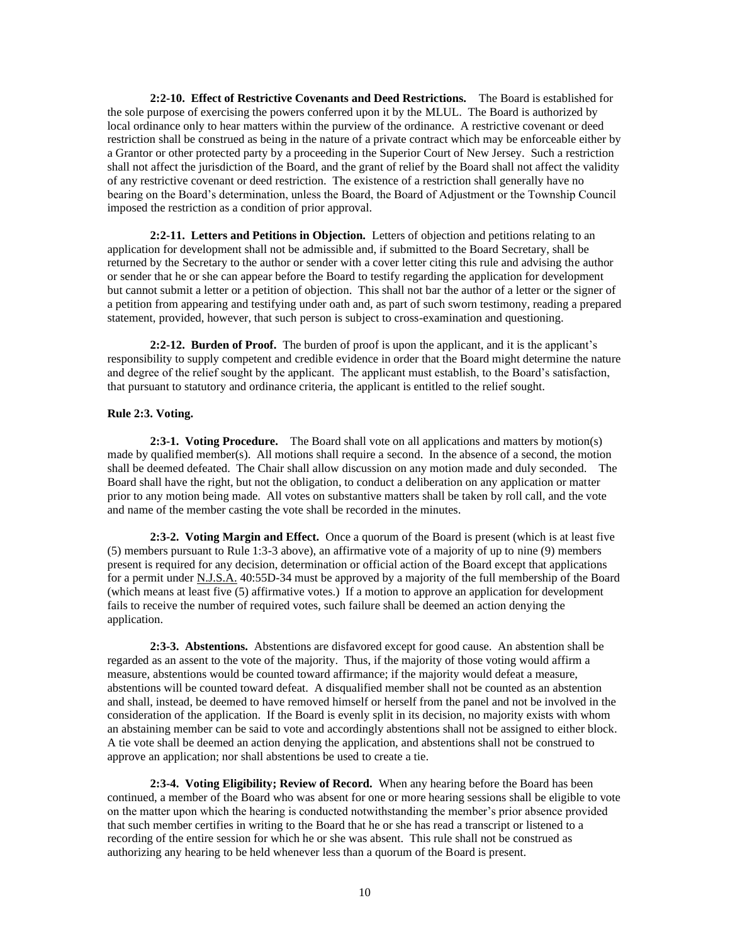**2:2-10. Effect of Restrictive Covenants and Deed Restrictions.** The Board is established for the sole purpose of exercising the powers conferred upon it by the MLUL. The Board is authorized by local ordinance only to hear matters within the purview of the ordinance. A restrictive covenant or deed restriction shall be construed as being in the nature of a private contract which may be enforceable either by a Grantor or other protected party by a proceeding in the Superior Court of New Jersey. Such a restriction shall not affect the jurisdiction of the Board, and the grant of relief by the Board shall not affect the validity of any restrictive covenant or deed restriction. The existence of a restriction shall generally have no bearing on the Board's determination, unless the Board, the Board of Adjustment or the Township Council imposed the restriction as a condition of prior approval.

**2:2-11. Letters and Petitions in Objection.** Letters of objection and petitions relating to an application for development shall not be admissible and, if submitted to the Board Secretary, shall be returned by the Secretary to the author or sender with a cover letter citing this rule and advising the author or sender that he or she can appear before the Board to testify regarding the application for development but cannot submit a letter or a petition of objection. This shall not bar the author of a letter or the signer of a petition from appearing and testifying under oath and, as part of such sworn testimony, reading a prepared statement, provided, however, that such person is subject to cross-examination and questioning.

**2:2-12. Burden of Proof.** The burden of proof is upon the applicant, and it is the applicant's responsibility to supply competent and credible evidence in order that the Board might determine the nature and degree of the relief sought by the applicant. The applicant must establish, to the Board's satisfaction, that pursuant to statutory and ordinance criteria, the applicant is entitled to the relief sought.

#### **Rule 2:3. Voting.**

**2:3-1. Voting Procedure.** The Board shall vote on all applications and matters by motion(s) made by qualified member(s). All motions shall require a second. In the absence of a second, the motion shall be deemed defeated. The Chair shall allow discussion on any motion made and duly seconded. The Board shall have the right, but not the obligation, to conduct a deliberation on any application or matter prior to any motion being made. All votes on substantive matters shall be taken by roll call, and the vote and name of the member casting the vote shall be recorded in the minutes.

**2:3-2. Voting Margin and Effect.** Once a quorum of the Board is present (which is at least five (5) members pursuant to Rule 1:3-3 above), an affirmative vote of a majority of up to nine (9) members present is required for any decision, determination or official action of the Board except that applications for a permit under N.J.S.A. 40:55D-34 must be approved by a majority of the full membership of the Board (which means at least five (5) affirmative votes.) If a motion to approve an application for development fails to receive the number of required votes, such failure shall be deemed an action denying the application.

**2:3-3. Abstentions.** Abstentions are disfavored except for good cause. An abstention shall be regarded as an assent to the vote of the majority. Thus, if the majority of those voting would affirm a measure, abstentions would be counted toward affirmance; if the majority would defeat a measure, abstentions will be counted toward defeat. A disqualified member shall not be counted as an abstention and shall, instead, be deemed to have removed himself or herself from the panel and not be involved in the consideration of the application. If the Board is evenly split in its decision, no majority exists with whom an abstaining member can be said to vote and accordingly abstentions shall not be assigned to either block. A tie vote shall be deemed an action denying the application, and abstentions shall not be construed to approve an application; nor shall abstentions be used to create a tie.

**2:3-4. Voting Eligibility; Review of Record.** When any hearing before the Board has been continued, a member of the Board who was absent for one or more hearing sessions shall be eligible to vote on the matter upon which the hearing is conducted notwithstanding the member's prior absence provided that such member certifies in writing to the Board that he or she has read a transcript or listened to a recording of the entire session for which he or she was absent. This rule shall not be construed as authorizing any hearing to be held whenever less than a quorum of the Board is present.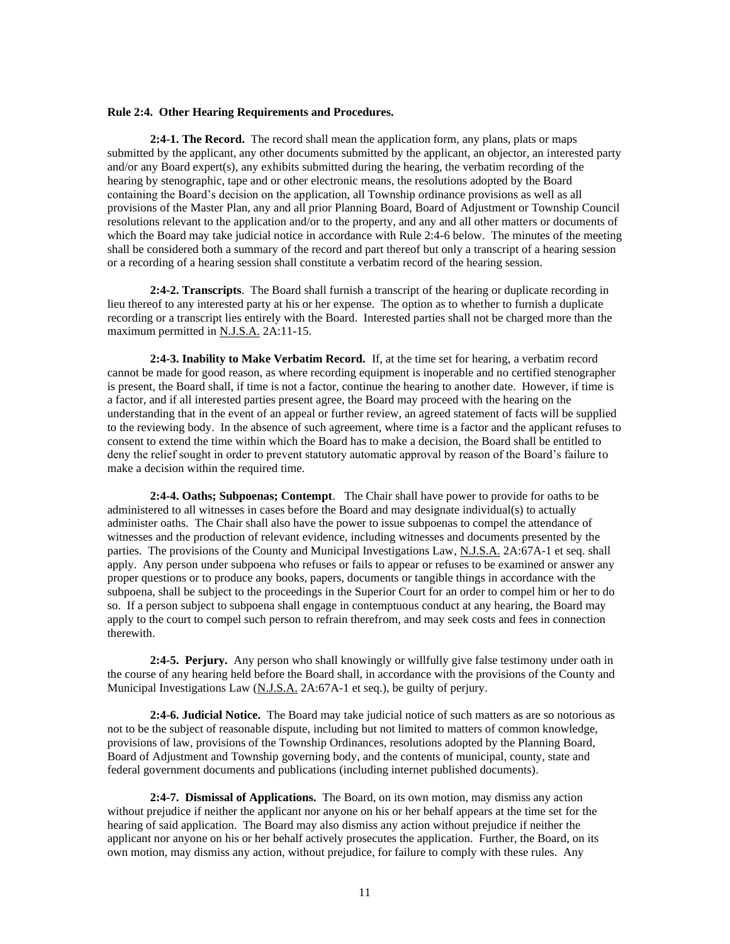#### **Rule 2:4. Other Hearing Requirements and Procedures.**

**2:4-1. The Record.** The record shall mean the application form, any plans, plats or maps submitted by the applicant, any other documents submitted by the applicant, an objector, an interested party and/or any Board expert(s), any exhibits submitted during the hearing, the verbatim recording of the hearing by stenographic, tape and or other electronic means, the resolutions adopted by the Board containing the Board's decision on the application, all Township ordinance provisions as well as all provisions of the Master Plan, any and all prior Planning Board, Board of Adjustment or Township Council resolutions relevant to the application and/or to the property, and any and all other matters or documents of which the Board may take judicial notice in accordance with Rule 2:4-6 below. The minutes of the meeting shall be considered both a summary of the record and part thereof but only a transcript of a hearing session or a recording of a hearing session shall constitute a verbatim record of the hearing session.

**2:4-2. Transcripts**. The Board shall furnish a transcript of the hearing or duplicate recording in lieu thereof to any interested party at his or her expense. The option as to whether to furnish a duplicate recording or a transcript lies entirely with the Board. Interested parties shall not be charged more than the maximum permitted in N.J.S.A. 2A:11-15.

**2:4-3. Inability to Make Verbatim Record.** If, at the time set for hearing, a verbatim record cannot be made for good reason, as where recording equipment is inoperable and no certified stenographer is present, the Board shall, if time is not a factor, continue the hearing to another date. However, if time is a factor, and if all interested parties present agree, the Board may proceed with the hearing on the understanding that in the event of an appeal or further review, an agreed statement of facts will be supplied to the reviewing body. In the absence of such agreement, where time is a factor and the applicant refuses to consent to extend the time within which the Board has to make a decision, the Board shall be entitled to deny the relief sought in order to prevent statutory automatic approval by reason of the Board's failure to make a decision within the required time.

**2:4-4. Oaths; Subpoenas; Contempt**. The Chair shall have power to provide for oaths to be administered to all witnesses in cases before the Board and may designate individual(s) to actually administer oaths. The Chair shall also have the power to issue subpoenas to compel the attendance of witnesses and the production of relevant evidence, including witnesses and documents presented by the parties. The provisions of the County and Municipal Investigations Law, N.J.S.A. 2A:67A-1 et seq. shall apply. Any person under subpoena who refuses or fails to appear or refuses to be examined or answer any proper questions or to produce any books, papers, documents or tangible things in accordance with the subpoena, shall be subject to the proceedings in the Superior Court for an order to compel him or her to do so. If a person subject to subpoena shall engage in contemptuous conduct at any hearing, the Board may apply to the court to compel such person to refrain therefrom, and may seek costs and fees in connection therewith.

**2:4-5. Perjury.** Any person who shall knowingly or willfully give false testimony under oath in the course of any hearing held before the Board shall, in accordance with the provisions of the County and Municipal Investigations Law (N.J.S.A. 2A:67A-1 et seq.), be guilty of perjury.

**2:4-6. Judicial Notice.** The Board may take judicial notice of such matters as are so notorious as not to be the subject of reasonable dispute, including but not limited to matters of common knowledge, provisions of law, provisions of the Township Ordinances, resolutions adopted by the Planning Board, Board of Adjustment and Township governing body, and the contents of municipal, county, state and federal government documents and publications (including internet published documents).

**2:4-7. Dismissal of Applications.** The Board, on its own motion, may dismiss any action without prejudice if neither the applicant nor anyone on his or her behalf appears at the time set for the hearing of said application. The Board may also dismiss any action without prejudice if neither the applicant nor anyone on his or her behalf actively prosecutes the application. Further, the Board, on its own motion, may dismiss any action, without prejudice, for failure to comply with these rules. Any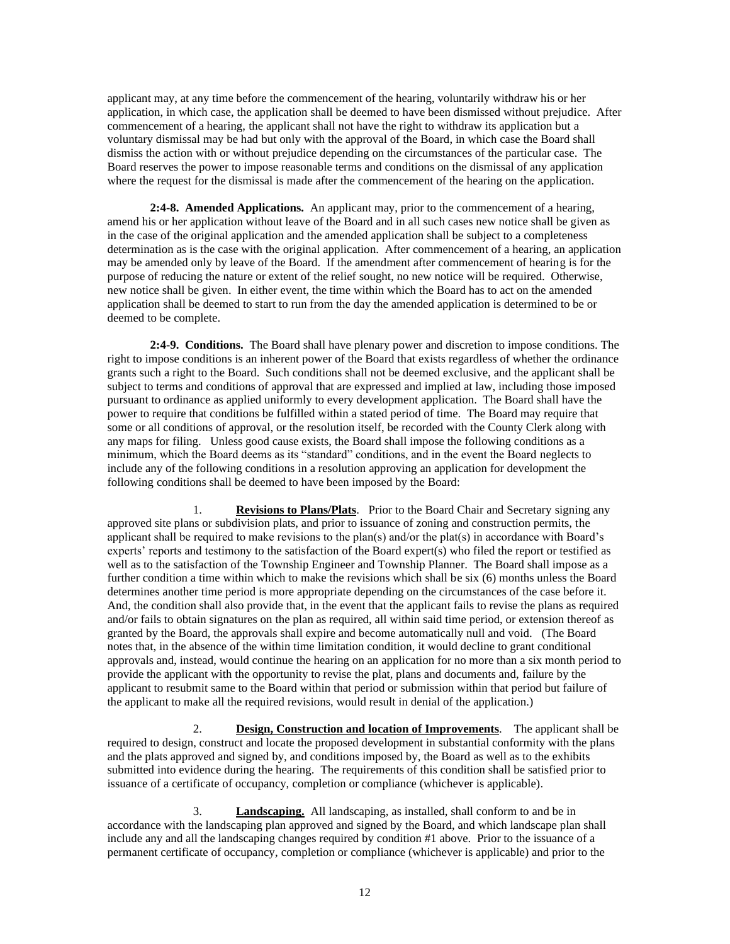applicant may, at any time before the commencement of the hearing, voluntarily withdraw his or her application, in which case, the application shall be deemed to have been dismissed without prejudice. After commencement of a hearing, the applicant shall not have the right to withdraw its application but a voluntary dismissal may be had but only with the approval of the Board, in which case the Board shall dismiss the action with or without prejudice depending on the circumstances of the particular case. The Board reserves the power to impose reasonable terms and conditions on the dismissal of any application where the request for the dismissal is made after the commencement of the hearing on the application.

**2:4-8. Amended Applications.** An applicant may, prior to the commencement of a hearing, amend his or her application without leave of the Board and in all such cases new notice shall be given as in the case of the original application and the amended application shall be subject to a completeness determination as is the case with the original application. After commencement of a hearing, an application may be amended only by leave of the Board. If the amendment after commencement of hearing is for the purpose of reducing the nature or extent of the relief sought, no new notice will be required. Otherwise, new notice shall be given. In either event, the time within which the Board has to act on the amended application shall be deemed to start to run from the day the amended application is determined to be or deemed to be complete.

**2:4-9. Conditions.** The Board shall have plenary power and discretion to impose conditions. The right to impose conditions is an inherent power of the Board that exists regardless of whether the ordinance grants such a right to the Board. Such conditions shall not be deemed exclusive, and the applicant shall be subject to terms and conditions of approval that are expressed and implied at law, including those imposed pursuant to ordinance as applied uniformly to every development application. The Board shall have the power to require that conditions be fulfilled within a stated period of time. The Board may require that some or all conditions of approval, or the resolution itself, be recorded with the County Clerk along with any maps for filing. Unless good cause exists, the Board shall impose the following conditions as a minimum, which the Board deems as its "standard" conditions, and in the event the Board neglects to include any of the following conditions in a resolution approving an application for development the following conditions shall be deemed to have been imposed by the Board:

1. **Revisions to Plans/Plats**. Prior to the Board Chair and Secretary signing any approved site plans or subdivision plats, and prior to issuance of zoning and construction permits, the applicant shall be required to make revisions to the plan(s) and/or the plat(s) in accordance with Board's experts' reports and testimony to the satisfaction of the Board expert(s) who filed the report or testified as well as to the satisfaction of the Township Engineer and Township Planner. The Board shall impose as a further condition a time within which to make the revisions which shall be six (6) months unless the Board determines another time period is more appropriate depending on the circumstances of the case before it. And, the condition shall also provide that, in the event that the applicant fails to revise the plans as required and/or fails to obtain signatures on the plan as required, all within said time period, or extension thereof as granted by the Board, the approvals shall expire and become automatically null and void. (The Board notes that, in the absence of the within time limitation condition, it would decline to grant conditional approvals and, instead, would continue the hearing on an application for no more than a six month period to provide the applicant with the opportunity to revise the plat, plans and documents and, failure by the applicant to resubmit same to the Board within that period or submission within that period but failure of the applicant to make all the required revisions, would result in denial of the application.)

2. **Design, Construction and location of Improvements**. The applicant shall be required to design, construct and locate the proposed development in substantial conformity with the plans and the plats approved and signed by, and conditions imposed by, the Board as well as to the exhibits submitted into evidence during the hearing. The requirements of this condition shall be satisfied prior to issuance of a certificate of occupancy, completion or compliance (whichever is applicable).

3. **Landscaping.** All landscaping, as installed, shall conform to and be in accordance with the landscaping plan approved and signed by the Board, and which landscape plan shall include any and all the landscaping changes required by condition #1 above. Prior to the issuance of a permanent certificate of occupancy, completion or compliance (whichever is applicable) and prior to the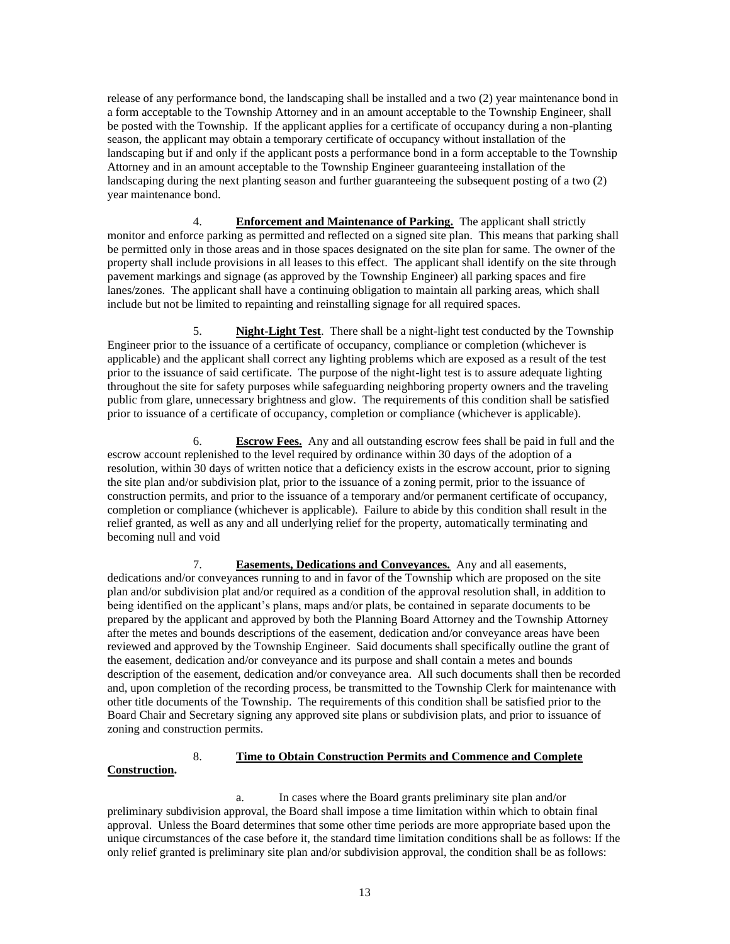release of any performance bond, the landscaping shall be installed and a two (2) year maintenance bond in a form acceptable to the Township Attorney and in an amount acceptable to the Township Engineer, shall be posted with the Township. If the applicant applies for a certificate of occupancy during a non-planting season, the applicant may obtain a temporary certificate of occupancy without installation of the landscaping but if and only if the applicant posts a performance bond in a form acceptable to the Township Attorney and in an amount acceptable to the Township Engineer guaranteeing installation of the landscaping during the next planting season and further guaranteeing the subsequent posting of a two (2) year maintenance bond.

4. **Enforcement and Maintenance of Parking.** The applicant shall strictly monitor and enforce parking as permitted and reflected on a signed site plan. This means that parking shall be permitted only in those areas and in those spaces designated on the site plan for same. The owner of the property shall include provisions in all leases to this effect. The applicant shall identify on the site through pavement markings and signage (as approved by the Township Engineer) all parking spaces and fire lanes/zones. The applicant shall have a continuing obligation to maintain all parking areas, which shall include but not be limited to repainting and reinstalling signage for all required spaces.

5. **Night-Light Test**. There shall be a night-light test conducted by the Township Engineer prior to the issuance of a certificate of occupancy, compliance or completion (whichever is applicable) and the applicant shall correct any lighting problems which are exposed as a result of the test prior to the issuance of said certificate. The purpose of the night-light test is to assure adequate lighting throughout the site for safety purposes while safeguarding neighboring property owners and the traveling public from glare, unnecessary brightness and glow. The requirements of this condition shall be satisfied prior to issuance of a certificate of occupancy, completion or compliance (whichever is applicable).

6. **Escrow Fees.** Any and all outstanding escrow fees shall be paid in full and the escrow account replenished to the level required by ordinance within 30 days of the adoption of a resolution, within 30 days of written notice that a deficiency exists in the escrow account, prior to signing the site plan and/or subdivision plat, prior to the issuance of a zoning permit, prior to the issuance of construction permits, and prior to the issuance of a temporary and/or permanent certificate of occupancy, completion or compliance (whichever is applicable). Failure to abide by this condition shall result in the relief granted, as well as any and all underlying relief for the property, automatically terminating and becoming null and void

7. **Easements, Dedications and Conveyances.** Any and all easements, dedications and/or conveyances running to and in favor of the Township which are proposed on the site plan and/or subdivision plat and/or required as a condition of the approval resolution shall, in addition to being identified on the applicant's plans, maps and/or plats, be contained in separate documents to be prepared by the applicant and approved by both the Planning Board Attorney and the Township Attorney after the metes and bounds descriptions of the easement, dedication and/or conveyance areas have been reviewed and approved by the Township Engineer. Said documents shall specifically outline the grant of the easement, dedication and/or conveyance and its purpose and shall contain a metes and bounds description of the easement, dedication and/or conveyance area. All such documents shall then be recorded and, upon completion of the recording process, be transmitted to the Township Clerk for maintenance with other title documents of the Township. The requirements of this condition shall be satisfied prior to the Board Chair and Secretary signing any approved site plans or subdivision plats, and prior to issuance of zoning and construction permits.

## 8. **Time to Obtain Construction Permits and Commence and Complete Construction.**

a. In cases where the Board grants preliminary site plan and/or preliminary subdivision approval, the Board shall impose a time limitation within which to obtain final approval. Unless the Board determines that some other time periods are more appropriate based upon the unique circumstances of the case before it, the standard time limitation conditions shall be as follows: If the only relief granted is preliminary site plan and/or subdivision approval, the condition shall be as follows: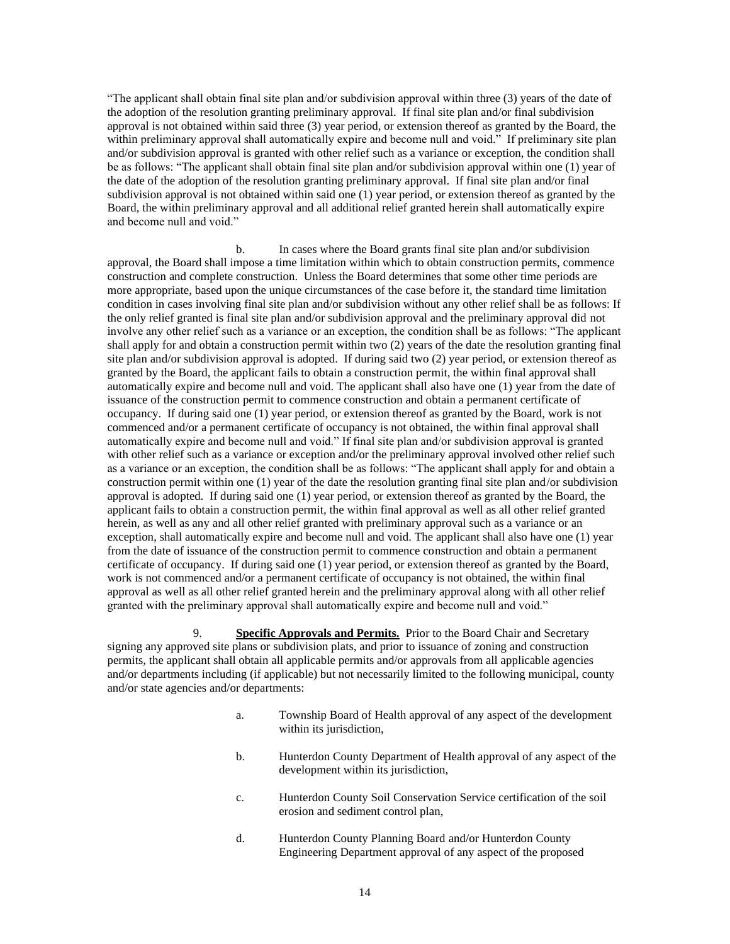"The applicant shall obtain final site plan and/or subdivision approval within three (3) years of the date of the adoption of the resolution granting preliminary approval. If final site plan and/or final subdivision approval is not obtained within said three (3) year period, or extension thereof as granted by the Board, the within preliminary approval shall automatically expire and become null and void." If preliminary site plan and/or subdivision approval is granted with other relief such as a variance or exception, the condition shall be as follows: "The applicant shall obtain final site plan and/or subdivision approval within one (1) year of the date of the adoption of the resolution granting preliminary approval. If final site plan and/or final subdivision approval is not obtained within said one (1) year period, or extension thereof as granted by the Board, the within preliminary approval and all additional relief granted herein shall automatically expire and become null and void."

b. In cases where the Board grants final site plan and/or subdivision approval, the Board shall impose a time limitation within which to obtain construction permits, commence construction and complete construction. Unless the Board determines that some other time periods are more appropriate, based upon the unique circumstances of the case before it, the standard time limitation condition in cases involving final site plan and/or subdivision without any other relief shall be as follows: If the only relief granted is final site plan and/or subdivision approval and the preliminary approval did not involve any other relief such as a variance or an exception, the condition shall be as follows: "The applicant shall apply for and obtain a construction permit within two (2) years of the date the resolution granting final site plan and/or subdivision approval is adopted. If during said two (2) year period, or extension thereof as granted by the Board, the applicant fails to obtain a construction permit, the within final approval shall automatically expire and become null and void. The applicant shall also have one (1) year from the date of issuance of the construction permit to commence construction and obtain a permanent certificate of occupancy. If during said one (1) year period, or extension thereof as granted by the Board, work is not commenced and/or a permanent certificate of occupancy is not obtained, the within final approval shall automatically expire and become null and void." If final site plan and/or subdivision approval is granted with other relief such as a variance or exception and/or the preliminary approval involved other relief such as a variance or an exception, the condition shall be as follows: "The applicant shall apply for and obtain a construction permit within one (1) year of the date the resolution granting final site plan and/or subdivision approval is adopted. If during said one (1) year period, or extension thereof as granted by the Board, the applicant fails to obtain a construction permit, the within final approval as well as all other relief granted herein, as well as any and all other relief granted with preliminary approval such as a variance or an exception, shall automatically expire and become null and void. The applicant shall also have one (1) year from the date of issuance of the construction permit to commence construction and obtain a permanent certificate of occupancy. If during said one (1) year period, or extension thereof as granted by the Board, work is not commenced and/or a permanent certificate of occupancy is not obtained, the within final approval as well as all other relief granted herein and the preliminary approval along with all other relief granted with the preliminary approval shall automatically expire and become null and void."

9. **Specific Approvals and Permits.** Prior to the Board Chair and Secretary signing any approved site plans or subdivision plats, and prior to issuance of zoning and construction permits, the applicant shall obtain all applicable permits and/or approvals from all applicable agencies and/or departments including (if applicable) but not necessarily limited to the following municipal, county and/or state agencies and/or departments:

- a. Township Board of Health approval of any aspect of the development within its jurisdiction,
- b. Hunterdon County Department of Health approval of any aspect of the development within its jurisdiction,
- c. Hunterdon County Soil Conservation Service certification of the soil erosion and sediment control plan,
- d. Hunterdon County Planning Board and/or Hunterdon County Engineering Department approval of any aspect of the proposed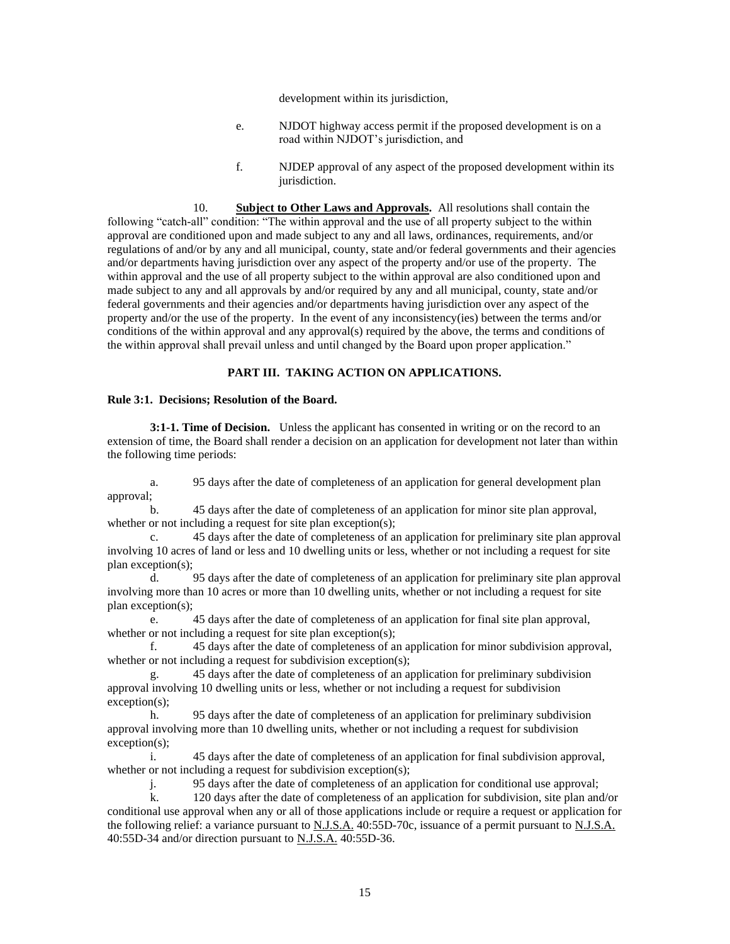development within its jurisdiction,

- e. NJDOT highway access permit if the proposed development is on a road within NJDOT's jurisdiction, and
- f. NJDEP approval of any aspect of the proposed development within its jurisdiction.

10. **Subject to Other Laws and Approvals.** All resolutions shall contain the following "catch-all" condition: "The within approval and the use of all property subject to the within approval are conditioned upon and made subject to any and all laws, ordinances, requirements, and/or regulations of and/or by any and all municipal, county, state and/or federal governments and their agencies and/or departments having jurisdiction over any aspect of the property and/or use of the property. The within approval and the use of all property subject to the within approval are also conditioned upon and made subject to any and all approvals by and/or required by any and all municipal, county, state and/or federal governments and their agencies and/or departments having jurisdiction over any aspect of the property and/or the use of the property. In the event of any inconsistency(ies) between the terms and/or conditions of the within approval and any approval(s) required by the above, the terms and conditions of the within approval shall prevail unless and until changed by the Board upon proper application."

#### **PART III. TAKING ACTION ON APPLICATIONS.**

#### **Rule 3:1. Decisions; Resolution of the Board.**

**3:1-1. Time of Decision.** Unless the applicant has consented in writing or on the record to an extension of time, the Board shall render a decision on an application for development not later than within the following time periods:

a. 95 days after the date of completeness of an application for general development plan approval;

b. 45 days after the date of completeness of an application for minor site plan approval, whether or not including a request for site plan exception(s);

c. 45 days after the date of completeness of an application for preliminary site plan approval involving 10 acres of land or less and 10 dwelling units or less, whether or not including a request for site plan exception(s);

d. 95 days after the date of completeness of an application for preliminary site plan approval involving more than 10 acres or more than 10 dwelling units, whether or not including a request for site plan exception(s);

e. 45 days after the date of completeness of an application for final site plan approval, whether or not including a request for site plan exception(s);

f. 45 days after the date of completeness of an application for minor subdivision approval, whether or not including a request for subdivision exception(s);

g. 45 days after the date of completeness of an application for preliminary subdivision approval involving 10 dwelling units or less, whether or not including a request for subdivision exception(s);

h. 95 days after the date of completeness of an application for preliminary subdivision approval involving more than 10 dwelling units, whether or not including a request for subdivision exception(s);

i. 45 days after the date of completeness of an application for final subdivision approval, whether or not including a request for subdivision exception(s);

j. 95 days after the date of completeness of an application for conditional use approval;

k. 120 days after the date of completeness of an application for subdivision, site plan and/or conditional use approval when any or all of those applications include or require a request or application for the following relief: a variance pursuant to N.J.S.A. 40:55D-70c, issuance of a permit pursuant to N.J.S.A. 40:55D-34 and/or direction pursuant to N.J.S.A. 40:55D-36.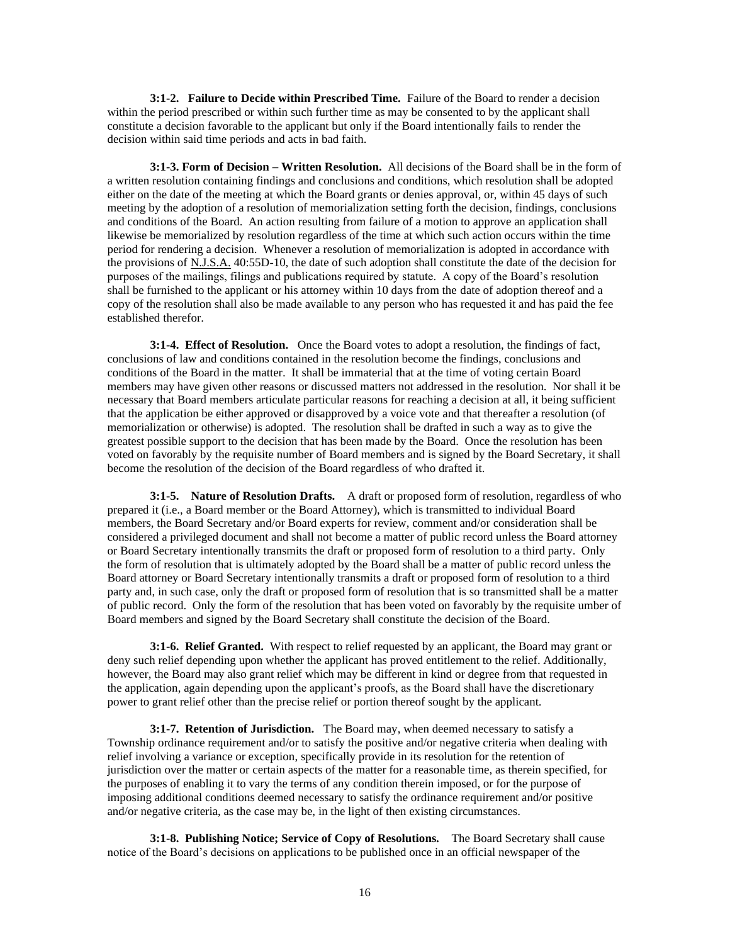**3:1-2. Failure to Decide within Prescribed Time.** Failure of the Board to render a decision within the period prescribed or within such further time as may be consented to by the applicant shall constitute a decision favorable to the applicant but only if the Board intentionally fails to render the decision within said time periods and acts in bad faith.

**3:1-3. Form of Decision – Written Resolution.** All decisions of the Board shall be in the form of a written resolution containing findings and conclusions and conditions, which resolution shall be adopted either on the date of the meeting at which the Board grants or denies approval, or, within 45 days of such meeting by the adoption of a resolution of memorialization setting forth the decision, findings, conclusions and conditions of the Board. An action resulting from failure of a motion to approve an application shall likewise be memorialized by resolution regardless of the time at which such action occurs within the time period for rendering a decision. Whenever a resolution of memorialization is adopted in accordance with the provisions of N.J.S.A. 40:55D-10, the date of such adoption shall constitute the date of the decision for purposes of the mailings, filings and publications required by statute. A copy of the Board's resolution shall be furnished to the applicant or his attorney within 10 days from the date of adoption thereof and a copy of the resolution shall also be made available to any person who has requested it and has paid the fee established therefor.

**3:1-4. Effect of Resolution.** Once the Board votes to adopt a resolution, the findings of fact, conclusions of law and conditions contained in the resolution become the findings, conclusions and conditions of the Board in the matter. It shall be immaterial that at the time of voting certain Board members may have given other reasons or discussed matters not addressed in the resolution. Nor shall it be necessary that Board members articulate particular reasons for reaching a decision at all, it being sufficient that the application be either approved or disapproved by a voice vote and that thereafter a resolution (of memorialization or otherwise) is adopted. The resolution shall be drafted in such a way as to give the greatest possible support to the decision that has been made by the Board. Once the resolution has been voted on favorably by the requisite number of Board members and is signed by the Board Secretary, it shall become the resolution of the decision of the Board regardless of who drafted it.

**3:1-5. Nature of Resolution Drafts.** A draft or proposed form of resolution, regardless of who prepared it (i.e., a Board member or the Board Attorney), which is transmitted to individual Board members, the Board Secretary and/or Board experts for review, comment and/or consideration shall be considered a privileged document and shall not become a matter of public record unless the Board attorney or Board Secretary intentionally transmits the draft or proposed form of resolution to a third party. Only the form of resolution that is ultimately adopted by the Board shall be a matter of public record unless the Board attorney or Board Secretary intentionally transmits a draft or proposed form of resolution to a third party and, in such case, only the draft or proposed form of resolution that is so transmitted shall be a matter of public record. Only the form of the resolution that has been voted on favorably by the requisite umber of Board members and signed by the Board Secretary shall constitute the decision of the Board.

**3:1-6. Relief Granted.** With respect to relief requested by an applicant, the Board may grant or deny such relief depending upon whether the applicant has proved entitlement to the relief. Additionally, however, the Board may also grant relief which may be different in kind or degree from that requested in the application, again depending upon the applicant's proofs, as the Board shall have the discretionary power to grant relief other than the precise relief or portion thereof sought by the applicant.

**3:1-7. Retention of Jurisdiction.** The Board may, when deemed necessary to satisfy a Township ordinance requirement and/or to satisfy the positive and/or negative criteria when dealing with relief involving a variance or exception, specifically provide in its resolution for the retention of jurisdiction over the matter or certain aspects of the matter for a reasonable time, as therein specified, for the purposes of enabling it to vary the terms of any condition therein imposed, or for the purpose of imposing additional conditions deemed necessary to satisfy the ordinance requirement and/or positive and/or negative criteria, as the case may be, in the light of then existing circumstances.

**3:1-8. Publishing Notice; Service of Copy of Resolutions.** The Board Secretary shall cause notice of the Board's decisions on applications to be published once in an official newspaper of the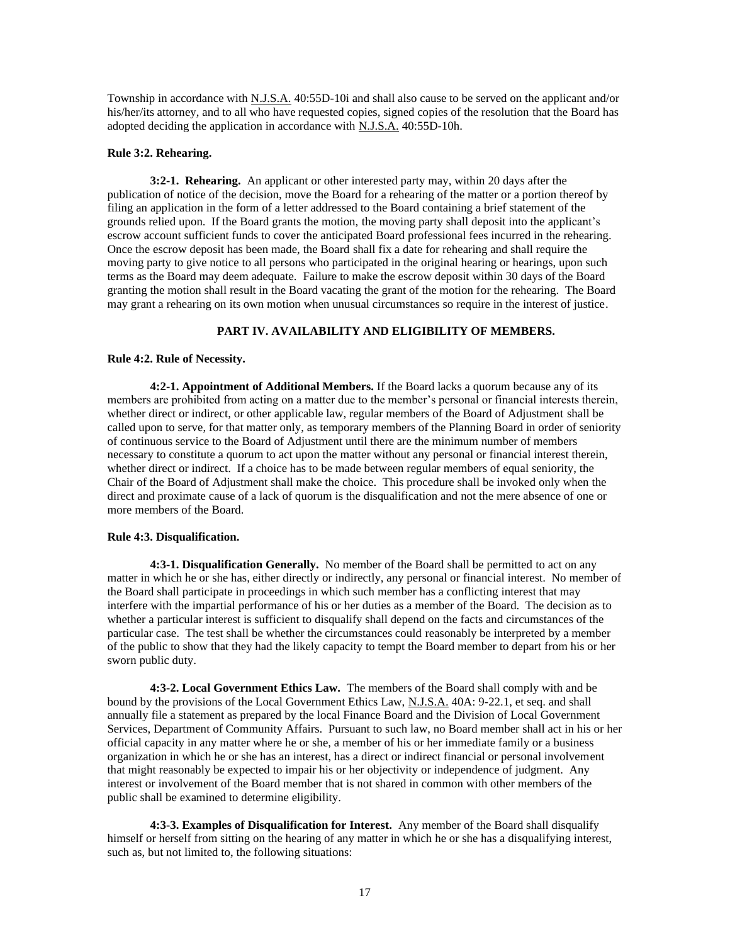Township in accordance with N.J.S.A. 40:55D-10i and shall also cause to be served on the applicant and/or his/her/its attorney, and to all who have requested copies, signed copies of the resolution that the Board has adopted deciding the application in accordance with N.J.S.A. 40:55D-10h.

#### **Rule 3:2. Rehearing.**

**3:2-1. Rehearing.** An applicant or other interested party may, within 20 days after the publication of notice of the decision, move the Board for a rehearing of the matter or a portion thereof by filing an application in the form of a letter addressed to the Board containing a brief statement of the grounds relied upon. If the Board grants the motion, the moving party shall deposit into the applicant's escrow account sufficient funds to cover the anticipated Board professional fees incurred in the rehearing. Once the escrow deposit has been made, the Board shall fix a date for rehearing and shall require the moving party to give notice to all persons who participated in the original hearing or hearings, upon such terms as the Board may deem adequate. Failure to make the escrow deposit within 30 days of the Board granting the motion shall result in the Board vacating the grant of the motion for the rehearing. The Board may grant a rehearing on its own motion when unusual circumstances so require in the interest of justice.

#### **PART IV. AVAILABILITY AND ELIGIBILITY OF MEMBERS.**

#### **Rule 4:2. Rule of Necessity.**

**4:2-1. Appointment of Additional Members.** If the Board lacks a quorum because any of its members are prohibited from acting on a matter due to the member's personal or financial interests therein, whether direct or indirect, or other applicable law, regular members of the Board of Adjustment shall be called upon to serve, for that matter only, as temporary members of the Planning Board in order of seniority of continuous service to the Board of Adjustment until there are the minimum number of members necessary to constitute a quorum to act upon the matter without any personal or financial interest therein, whether direct or indirect. If a choice has to be made between regular members of equal seniority, the Chair of the Board of Adjustment shall make the choice. This procedure shall be invoked only when the direct and proximate cause of a lack of quorum is the disqualification and not the mere absence of one or more members of the Board.

#### **Rule 4:3. Disqualification.**

**4:3-1. Disqualification Generally.** No member of the Board shall be permitted to act on any matter in which he or she has, either directly or indirectly, any personal or financial interest. No member of the Board shall participate in proceedings in which such member has a conflicting interest that may interfere with the impartial performance of his or her duties as a member of the Board. The decision as to whether a particular interest is sufficient to disqualify shall depend on the facts and circumstances of the particular case. The test shall be whether the circumstances could reasonably be interpreted by a member of the public to show that they had the likely capacity to tempt the Board member to depart from his or her sworn public duty.

**4:3-2. Local Government Ethics Law.** The members of the Board shall comply with and be bound by the provisions of the Local Government Ethics Law, N.J.S.A. 40A: 9-22.1, et seq. and shall annually file a statement as prepared by the local Finance Board and the Division of Local Government Services, Department of Community Affairs. Pursuant to such law, no Board member shall act in his or her official capacity in any matter where he or she, a member of his or her immediate family or a business organization in which he or she has an interest, has a direct or indirect financial or personal involvement that might reasonably be expected to impair his or her objectivity or independence of judgment. Any interest or involvement of the Board member that is not shared in common with other members of the public shall be examined to determine eligibility.

**4:3-3. Examples of Disqualification for Interest.** Any member of the Board shall disqualify himself or herself from sitting on the hearing of any matter in which he or she has a disqualifying interest, such as, but not limited to, the following situations: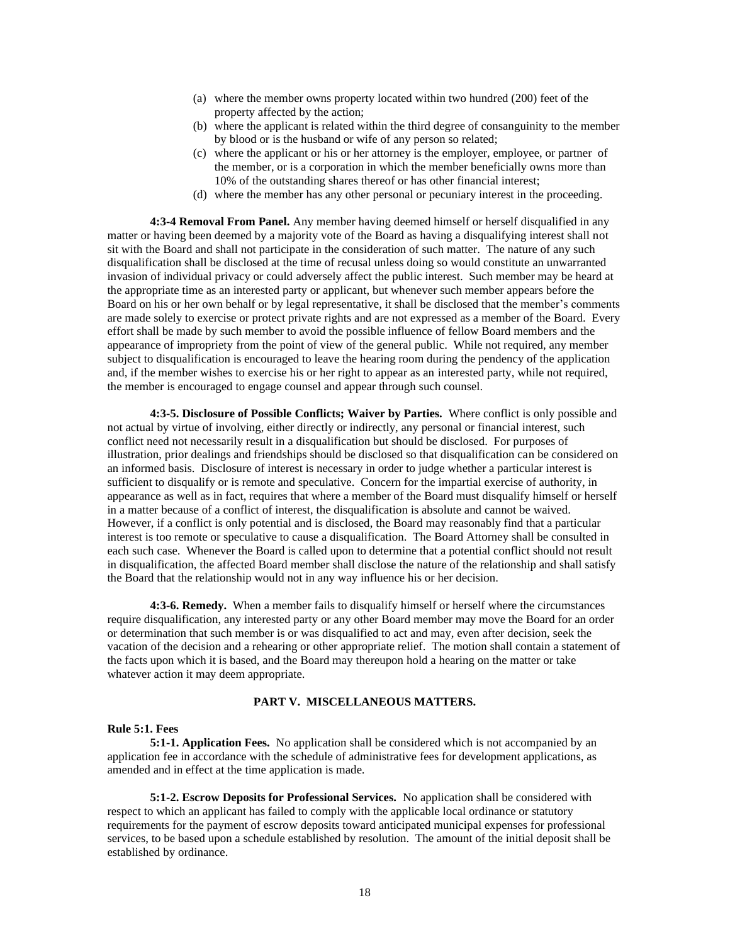- (a) where the member owns property located within two hundred (200) feet of the property affected by the action;
- (b) where the applicant is related within the third degree of consanguinity to the member by blood or is the husband or wife of any person so related;
- (c) where the applicant or his or her attorney is the employer, employee, or partner of the member, or is a corporation in which the member beneficially owns more than 10% of the outstanding shares thereof or has other financial interest;
- (d) where the member has any other personal or pecuniary interest in the proceeding.

**4:3-4 Removal From Panel.** Any member having deemed himself or herself disqualified in any matter or having been deemed by a majority vote of the Board as having a disqualifying interest shall not sit with the Board and shall not participate in the consideration of such matter. The nature of any such disqualification shall be disclosed at the time of recusal unless doing so would constitute an unwarranted invasion of individual privacy or could adversely affect the public interest. Such member may be heard at the appropriate time as an interested party or applicant, but whenever such member appears before the Board on his or her own behalf or by legal representative, it shall be disclosed that the member's comments are made solely to exercise or protect private rights and are not expressed as a member of the Board. Every effort shall be made by such member to avoid the possible influence of fellow Board members and the appearance of impropriety from the point of view of the general public. While not required, any member subject to disqualification is encouraged to leave the hearing room during the pendency of the application and, if the member wishes to exercise his or her right to appear as an interested party, while not required, the member is encouraged to engage counsel and appear through such counsel.

**4:3-5. Disclosure of Possible Conflicts; Waiver by Parties.** Where conflict is only possible and not actual by virtue of involving, either directly or indirectly, any personal or financial interest, such conflict need not necessarily result in a disqualification but should be disclosed. For purposes of illustration, prior dealings and friendships should be disclosed so that disqualification can be considered on an informed basis. Disclosure of interest is necessary in order to judge whether a particular interest is sufficient to disqualify or is remote and speculative. Concern for the impartial exercise of authority, in appearance as well as in fact, requires that where a member of the Board must disqualify himself or herself in a matter because of a conflict of interest, the disqualification is absolute and cannot be waived. However, if a conflict is only potential and is disclosed, the Board may reasonably find that a particular interest is too remote or speculative to cause a disqualification. The Board Attorney shall be consulted in each such case. Whenever the Board is called upon to determine that a potential conflict should not result in disqualification, the affected Board member shall disclose the nature of the relationship and shall satisfy the Board that the relationship would not in any way influence his or her decision.

**4:3-6. Remedy.** When a member fails to disqualify himself or herself where the circumstances require disqualification, any interested party or any other Board member may move the Board for an order or determination that such member is or was disqualified to act and may, even after decision, seek the vacation of the decision and a rehearing or other appropriate relief. The motion shall contain a statement of the facts upon which it is based, and the Board may thereupon hold a hearing on the matter or take whatever action it may deem appropriate.

#### **PART V. MISCELLANEOUS MATTERS.**

#### **Rule 5:1. Fees**

**5:1-1. Application Fees.** No application shall be considered which is not accompanied by an application fee in accordance with the schedule of administrative fees for development applications, as amended and in effect at the time application is made.

**5:1-2. Escrow Deposits for Professional Services.** No application shall be considered with respect to which an applicant has failed to comply with the applicable local ordinance or statutory requirements for the payment of escrow deposits toward anticipated municipal expenses for professional services, to be based upon a schedule established by resolution. The amount of the initial deposit shall be established by ordinance.